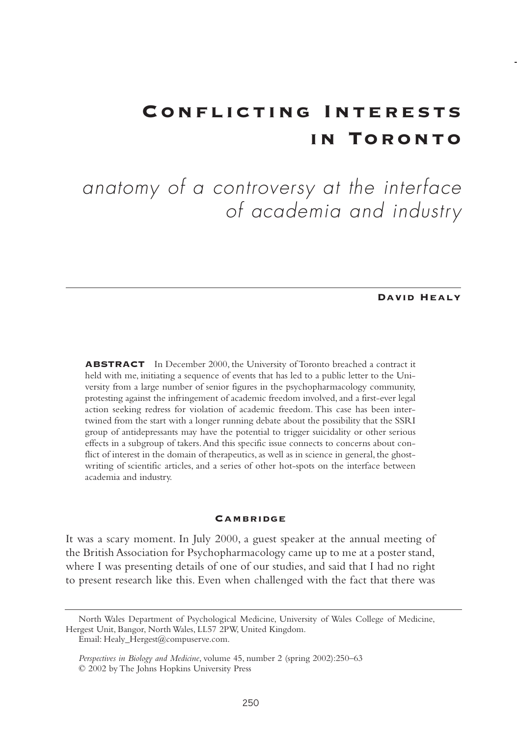# Conflicting Interests in Toronto

*anatomy of a controversy at the interface of academia and industry*

#### David Healy

ABSTRACT In December 2000, the University of Toronto breached a contract it held with me, initiating a sequence of events that has led to a public letter to the University from a large number of senior figures in the psychopharmacology community, protesting against the infringement of academic freedom involved, and a first-ever legal action seeking redress for violation of academic freedom. This case has been intertwined from the start with a longer running debate about the possibility that the SSRI group of antidepressants may have the potential to trigger suicidality or other serious effects in a subgroup of takers.And this specific issue connects to concerns about conflict of interest in the domain of therapeutics, as well as in science in general, the ghostwriting of scientific articles, and a series of other hot-spots on the interface between academia and industry.

#### **CAMBRIDGE**

It was a scary moment. In July 2000, a guest speaker at the annual meeting of the British Association for Psychopharmacology came up to me at a poster stand, where I was presenting details of one of our studies, and said that I had no right to present research like this. Even when challenged with the fact that there was

North Wales Department of Psychological Medicine, University of Wales College of Medicine, Hergest Unit, Bangor, North Wales, LL57 2PW, United Kingdom.

Email: Healy\_Hergest@compuserve.com.

*Perspectives in Biology and Medicine*, volume 45, number 2 (spring 2002):250–63 © 2002 by The Johns Hopkins University Press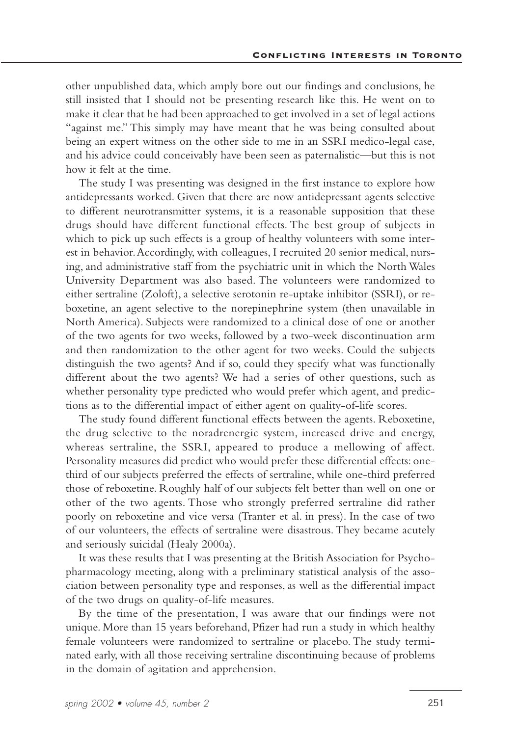other unpublished data, which amply bore out our findings and conclusions, he still insisted that I should not be presenting research like this. He went on to make it clear that he had been approached to get involved in a set of legal actions "against me." This simply may have meant that he was being consulted about being an expert witness on the other side to me in an SSRI medico-legal case, and his advice could conceivably have been seen as paternalistic—but this is not how it felt at the time.

The study I was presenting was designed in the first instance to explore how antidepressants worked. Given that there are now antidepressant agents selective to different neurotransmitter systems, it is a reasonable supposition that these drugs should have different functional effects. The best group of subjects in which to pick up such effects is a group of healthy volunteers with some interest in behavior.Accordingly, with colleagues, I recruited 20 senior medical, nursing, and administrative staff from the psychiatric unit in which the North Wales University Department was also based. The volunteers were randomized to either sertraline (Zoloft), a selective serotonin re-uptake inhibitor (SSRI), or reboxetine, an agent selective to the norepinephrine system (then unavailable in North America). Subjects were randomized to a clinical dose of one or another of the two agents for two weeks, followed by a two-week discontinuation arm and then randomization to the other agent for two weeks. Could the subjects distinguish the two agents? And if so, could they specify what was functionally different about the two agents? We had a series of other questions, such as whether personality type predicted who would prefer which agent, and predictions as to the differential impact of either agent on quality-of-life scores.

The study found different functional effects between the agents. Reboxetine, the drug selective to the noradrenergic system, increased drive and energy, whereas sertraline, the SSRI, appeared to produce a mellowing of affect. Personality measures did predict who would prefer these differential effects: onethird of our subjects preferred the effects of sertraline, while one-third preferred those of reboxetine. Roughly half of our subjects felt better than well on one or other of the two agents. Those who strongly preferred sertraline did rather poorly on reboxetine and vice versa (Tranter et al. in press). In the case of two of our volunteers, the effects of sertraline were disastrous. They became acutely and seriously suicidal (Healy 2000a).

It was these results that I was presenting at the British Association for Psychopharmacology meeting, along with a preliminary statistical analysis of the association between personality type and responses, as well as the differential impact of the two drugs on quality-of-life measures.

By the time of the presentation, I was aware that our findings were not unique. More than 15 years beforehand, Pfizer had run a study in which healthy female volunteers were randomized to sertraline or placebo. The study terminated early, with all those receiving sertraline discontinuing because of problems in the domain of agitation and apprehension.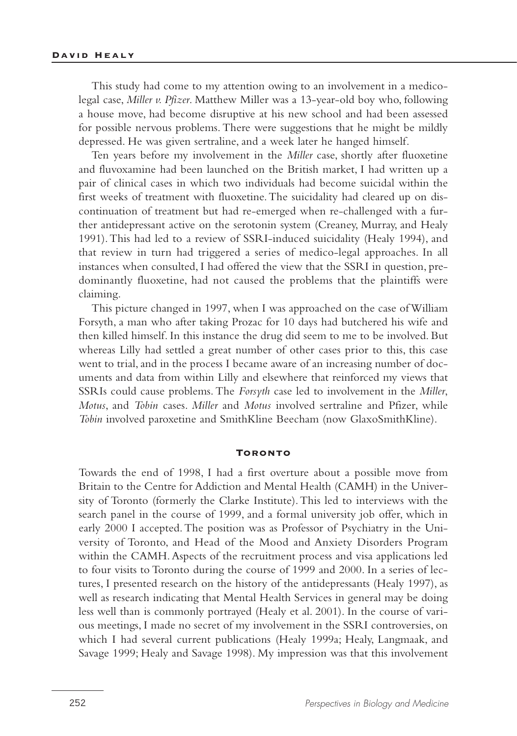This study had come to my attention owing to an involvement in a medicolegal case, *Miller v. Pfizer*. Matthew Miller was a 13-year-old boy who, following a house move, had become disruptive at his new school and had been assessed for possible nervous problems. There were suggestions that he might be mildly depressed. He was given sertraline, and a week later he hanged himself.

Ten years before my involvement in the *Miller* case, shortly after fluoxetine and fluvoxamine had been launched on the British market, I had written up a pair of clinical cases in which two individuals had become suicidal within the first weeks of treatment with fluoxetine.The suicidality had cleared up on discontinuation of treatment but had re-emerged when re-challenged with a further antidepressant active on the serotonin system (Creaney, Murray, and Healy 1991).This had led to a review of SSRI-induced suicidality (Healy 1994), and that review in turn had triggered a series of medico-legal approaches. In all instances when consulted, I had offered the view that the SSRI in question, predominantly fluoxetine, had not caused the problems that the plaintiffs were claiming.

This picture changed in 1997, when I was approached on the case of William Forsyth, a man who after taking Prozac for 10 days had butchered his wife and then killed himself. In this instance the drug did seem to me to be involved. But whereas Lilly had settled a great number of other cases prior to this, this case went to trial, and in the process I became aware of an increasing number of documents and data from within Lilly and elsewhere that reinforced my views that SSRIs could cause problems. The *Forsyth* case led to involvement in the *Miller*, *Motus*, and *Tobin* cases. *Miller* and *Motus* involved sertraline and Pfizer, while *Tobin* involved paroxetine and SmithKline Beecham (now GlaxoSmithKline).

### **TORONTO**

Towards the end of 1998, I had a first overture about a possible move from Britain to the Centre for Addiction and Mental Health (CAMH) in the University of Toronto (formerly the Clarke Institute).This led to interviews with the search panel in the course of 1999, and a formal university job offer, which in early 2000 I accepted. The position was as Professor of Psychiatry in the University of Toronto, and Head of the Mood and Anxiety Disorders Program within the CAMH. Aspects of the recruitment process and visa applications led to four visits to Toronto during the course of 1999 and 2000. In a series of lectures, I presented research on the history of the antidepressants (Healy 1997), as well as research indicating that Mental Health Services in general may be doing less well than is commonly portrayed (Healy et al. 2001). In the course of various meetings, I made no secret of my involvement in the SSRI controversies, on which I had several current publications (Healy 1999a; Healy, Langmaak, and Savage 1999; Healy and Savage 1998). My impression was that this involvement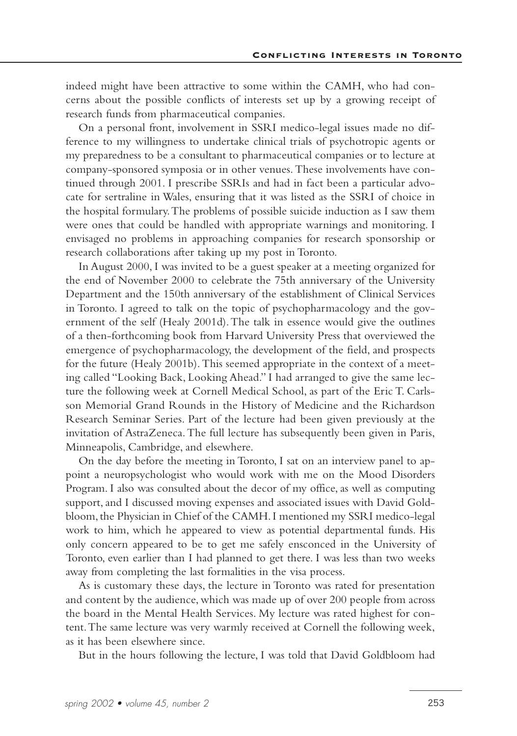indeed might have been attractive to some within the CAMH, who had concerns about the possible conflicts of interests set up by a growing receipt of research funds from pharmaceutical companies.

On a personal front, involvement in SSRI medico-legal issues made no difference to my willingness to undertake clinical trials of psychotropic agents or my preparedness to be a consultant to pharmaceutical companies or to lecture at company-sponsored symposia or in other venues. These involvements have continued through 2001. I prescribe SSRIs and had in fact been a particular advocate for sertraline in Wales, ensuring that it was listed as the SSRI of choice in the hospital formulary.The problems of possible suicide induction as I saw them were ones that could be handled with appropriate warnings and monitoring. I envisaged no problems in approaching companies for research sponsorship or research collaborations after taking up my post in Toronto.

In August 2000, I was invited to be a guest speaker at a meeting organized for the end of November 2000 to celebrate the 75th anniversary of the University Department and the 150th anniversary of the establishment of Clinical Services in Toronto. I agreed to talk on the topic of psychopharmacology and the government of the self (Healy 2001d).The talk in essence would give the outlines of a then-forthcoming book from Harvard University Press that overviewed the emergence of psychopharmacology, the development of the field, and prospects for the future (Healy 2001b). This seemed appropriate in the context of a meeting called "Looking Back, Looking Ahead." I had arranged to give the same lecture the following week at Cornell Medical School, as part of the Eric T. Carlsson Memorial Grand Rounds in the History of Medicine and the Richardson Research Seminar Series. Part of the lecture had been given previously at the invitation of AstraZeneca.The full lecture has subsequently been given in Paris, Minneapolis, Cambridge, and elsewhere.

On the day before the meeting in Toronto, I sat on an interview panel to appoint a neuropsychologist who would work with me on the Mood Disorders Program. I also was consulted about the decor of my office, as well as computing support, and I discussed moving expenses and associated issues with David Goldbloom, the Physician in Chief of the CAMH.I mentioned my SSRI medico-legal work to him, which he appeared to view as potential departmental funds. His only concern appeared to be to get me safely ensconced in the University of Toronto, even earlier than I had planned to get there. I was less than two weeks away from completing the last formalities in the visa process.

As is customary these days, the lecture in Toronto was rated for presentation and content by the audience, which was made up of over 200 people from across the board in the Mental Health Services. My lecture was rated highest for content.The same lecture was very warmly received at Cornell the following week, as it has been elsewhere since.

But in the hours following the lecture, I was told that David Goldbloom had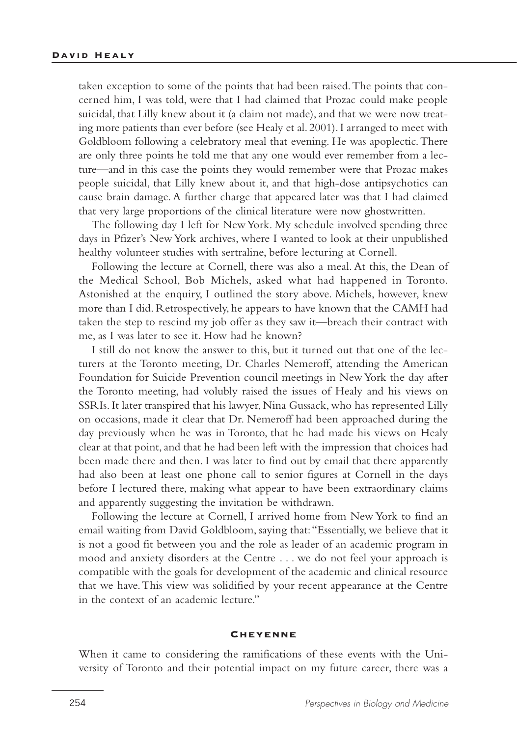taken exception to some of the points that had been raised.The points that concerned him, I was told, were that I had claimed that Prozac could make people suicidal, that Lilly knew about it (a claim not made), and that we were now treating more patients than ever before (see Healy et al. 2001). I arranged to meet with Goldbloom following a celebratory meal that evening. He was apoplectic.There are only three points he told me that any one would ever remember from a lecture—and in this case the points they would remember were that Prozac makes people suicidal, that Lilly knew about it, and that high-dose antipsychotics can cause brain damage. A further charge that appeared later was that I had claimed that very large proportions of the clinical literature were now ghostwritten.

The following day I left for New York. My schedule involved spending three days in Pfizer's New York archives, where I wanted to look at their unpublished healthy volunteer studies with sertraline, before lecturing at Cornell.

Following the lecture at Cornell, there was also a meal. At this, the Dean of the Medical School, Bob Michels, asked what had happened in Toronto. Astonished at the enquiry, I outlined the story above. Michels, however, knew more than I did. Retrospectively, he appears to have known that the CAMH had taken the step to rescind my job offer as they saw it—breach their contract with me, as I was later to see it. How had he known?

I still do not know the answer to this, but it turned out that one of the lecturers at the Toronto meeting, Dr. Charles Nemeroff, attending the American Foundation for Suicide Prevention council meetings in New York the day after the Toronto meeting, had volubly raised the issues of Healy and his views on SSRIs. It later transpired that his lawyer, Nina Gussack, who has represented Lilly on occasions, made it clear that Dr. Nemeroff had been approached during the day previously when he was in Toronto, that he had made his views on Healy clear at that point, and that he had been left with the impression that choices had been made there and then. I was later to find out by email that there apparently had also been at least one phone call to senior figures at Cornell in the days before I lectured there, making what appear to have been extraordinary claims and apparently suggesting the invitation be withdrawn.

Following the lecture at Cornell, I arrived home from New York to find an email waiting from David Goldbloom, saying that:"Essentially, we believe that it is not a good fit between you and the role as leader of an academic program in mood and anxiety disorders at the Centre . . . we do not feel your approach is compatible with the goals for development of the academic and clinical resource that we have.This view was solidified by your recent appearance at the Centre in the context of an academic lecture."

# **CHEYENNE**

When it came to considering the ramifications of these events with the University of Toronto and their potential impact on my future career, there was a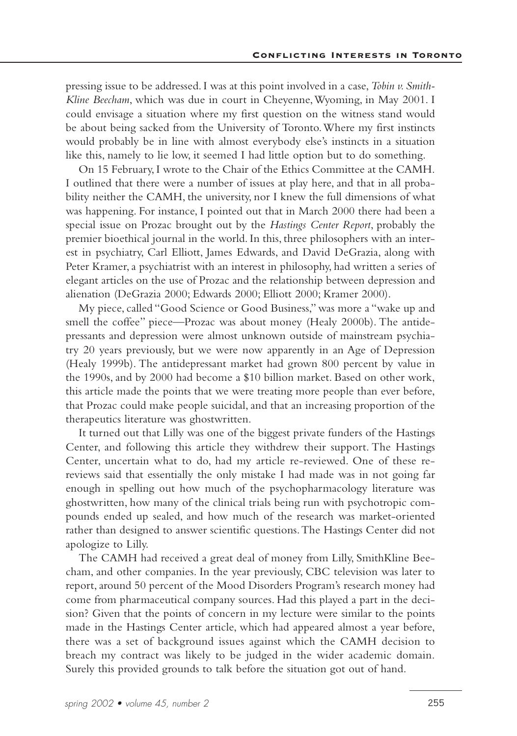pressing issue to be addressed. I was at this point involved in a case,*Tobin v. Smith-Kline Beecham*, which was due in court in Cheyenne,Wyoming, in May 2001. I could envisage a situation where my first question on the witness stand would be about being sacked from the University of Toronto.Where my first instincts would probably be in line with almost everybody else's instincts in a situation like this, namely to lie low, it seemed I had little option but to do something.

On 15 February, I wrote to the Chair of the Ethics Committee at the CAMH. I outlined that there were a number of issues at play here, and that in all probability neither the CAMH, the university, nor I knew the full dimensions of what was happening. For instance, I pointed out that in March 2000 there had been a special issue on Prozac brought out by the *Hastings Center Report*, probably the premier bioethical journal in the world. In this, three philosophers with an interest in psychiatry, Carl Elliott, James Edwards, and David DeGrazia, along with Peter Kramer, a psychiatrist with an interest in philosophy, had written a series of elegant articles on the use of Prozac and the relationship between depression and alienation (DeGrazia 2000; Edwards 2000; Elliott 2000; Kramer 2000).

My piece, called "Good Science or Good Business," was more a "wake up and smell the coffee" piece—Prozac was about money (Healy 2000b). The antidepressants and depression were almost unknown outside of mainstream psychiatry 20 years previously, but we were now apparently in an Age of Depression (Healy 1999b). The antidepressant market had grown 800 percent by value in the 1990s, and by 2000 had become a \$10 billion market. Based on other work, this article made the points that we were treating more people than ever before, that Prozac could make people suicidal, and that an increasing proportion of the therapeutics literature was ghostwritten.

It turned out that Lilly was one of the biggest private funders of the Hastings Center, and following this article they withdrew their support. The Hastings Center, uncertain what to do, had my article re-reviewed. One of these rereviews said that essentially the only mistake I had made was in not going far enough in spelling out how much of the psychopharmacology literature was ghostwritten, how many of the clinical trials being run with psychotropic compounds ended up sealed, and how much of the research was market-oriented rather than designed to answer scientific questions.The Hastings Center did not apologize to Lilly.

The CAMH had received a great deal of money from Lilly, SmithKline Beecham, and other companies. In the year previously, CBC television was later to report, around 50 percent of the Mood Disorders Program's research money had come from pharmaceutical company sources. Had this played a part in the decision? Given that the points of concern in my lecture were similar to the points made in the Hastings Center article, which had appeared almost a year before, there was a set of background issues against which the CAMH decision to breach my contract was likely to be judged in the wider academic domain. Surely this provided grounds to talk before the situation got out of hand.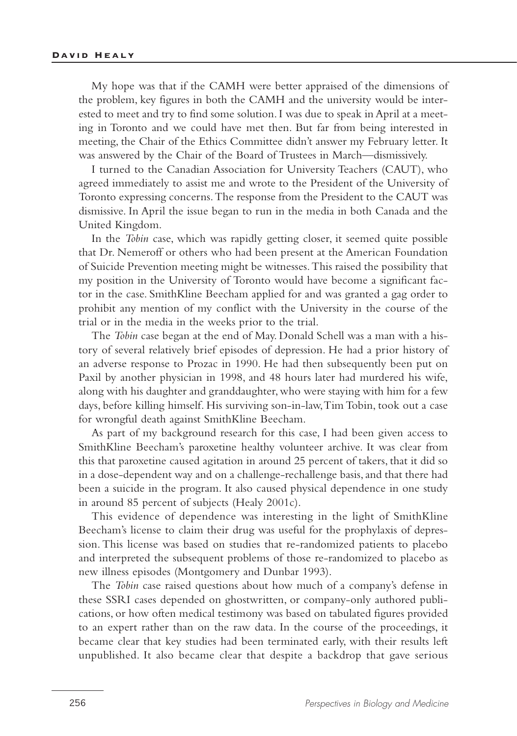My hope was that if the CAMH were better appraised of the dimensions of the problem, key figures in both the CAMH and the university would be interested to meet and try to find some solution. I was due to speak in April at a meeting in Toronto and we could have met then. But far from being interested in meeting, the Chair of the Ethics Committee didn't answer my February letter. It was answered by the Chair of the Board of Trustees in March—dismissively.

I turned to the Canadian Association for University Teachers (CAUT), who agreed immediately to assist me and wrote to the President of the University of Toronto expressing concerns.The response from the President to the CAUT was dismissive. In April the issue began to run in the media in both Canada and the United Kingdom.

In the *Tobin* case, which was rapidly getting closer, it seemed quite possible that Dr. Nemeroff or others who had been present at the American Foundation of Suicide Prevention meeting might be witnesses.This raised the possibility that my position in the University of Toronto would have become a significant factor in the case. SmithKline Beecham applied for and was granted a gag order to prohibit any mention of my conflict with the University in the course of the trial or in the media in the weeks prior to the trial.

The *Tobin* case began at the end of May. Donald Schell was a man with a history of several relatively brief episodes of depression. He had a prior history of an adverse response to Prozac in 1990. He had then subsequently been put on Paxil by another physician in 1998, and 48 hours later had murdered his wife, along with his daughter and granddaughter, who were staying with him for a few days, before killing himself. His surviving son-in-law,Tim Tobin, took out a case for wrongful death against SmithKline Beecham.

As part of my background research for this case, I had been given access to SmithKline Beecham's paroxetine healthy volunteer archive. It was clear from this that paroxetine caused agitation in around 25 percent of takers, that it did so in a dose-dependent way and on a challenge-rechallenge basis, and that there had been a suicide in the program. It also caused physical dependence in one study in around 85 percent of subjects (Healy 2001c).

This evidence of dependence was interesting in the light of SmithKline Beecham's license to claim their drug was useful for the prophylaxis of depression. This license was based on studies that re-randomized patients to placebo and interpreted the subsequent problems of those re-randomized to placebo as new illness episodes (Montgomery and Dunbar 1993).

The *Tobin* case raised questions about how much of a company's defense in these SSRI cases depended on ghostwritten, or company-only authored publications, or how often medical testimony was based on tabulated figures provided to an expert rather than on the raw data. In the course of the proceedings, it became clear that key studies had been terminated early, with their results left unpublished. It also became clear that despite a backdrop that gave serious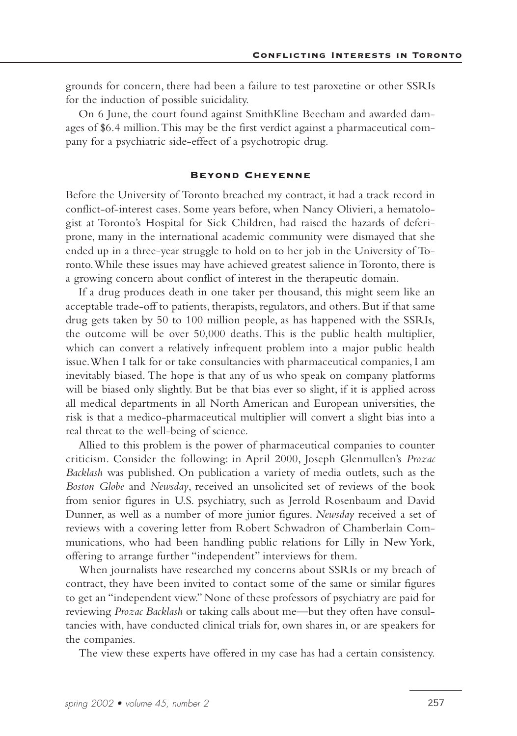grounds for concern, there had been a failure to test paroxetine or other SSRIs for the induction of possible suicidality.

On 6 June, the court found against SmithKline Beecham and awarded damages of \$6.4 million.This may be the first verdict against a pharmaceutical company for a psychiatric side-effect of a psychotropic drug.

# Beyond Cheyenne

Before the University of Toronto breached my contract, it had a track record in conflict-of-interest cases. Some years before, when Nancy Olivieri, a hematologist at Toronto's Hospital for Sick Children, had raised the hazards of deferiprone, many in the international academic community were dismayed that she ended up in a three-year struggle to hold on to her job in the University of Toronto.While these issues may have achieved greatest salience in Toronto, there is a growing concern about conflict of interest in the therapeutic domain.

If a drug produces death in one taker per thousand, this might seem like an acceptable trade-off to patients, therapists, regulators, and others. But if that same drug gets taken by 50 to 100 million people, as has happened with the SSRIs, the outcome will be over 50,000 deaths. This is the public health multiplier, which can convert a relatively infrequent problem into a major public health issue.When I talk for or take consultancies with pharmaceutical companies, I am inevitably biased. The hope is that any of us who speak on company platforms will be biased only slightly. But be that bias ever so slight, if it is applied across all medical departments in all North American and European universities, the risk is that a medico-pharmaceutical multiplier will convert a slight bias into a real threat to the well-being of science.

Allied to this problem is the power of pharmaceutical companies to counter criticism. Consider the following: in April 2000, Joseph Glenmullen's *Prozac Backlash* was published. On publication a variety of media outlets, such as the *Boston Globe* and *Newsday*, received an unsolicited set of reviews of the book from senior figures in U.S. psychiatry, such as Jerrold Rosenbaum and David Dunner, as well as a number of more junior figures. *Newsday* received a set of reviews with a covering letter from Robert Schwadron of Chamberlain Communications, who had been handling public relations for Lilly in New York, offering to arrange further "independent" interviews for them.

When journalists have researched my concerns about SSRIs or my breach of contract, they have been invited to contact some of the same or similar figures to get an "independent view." None of these professors of psychiatry are paid for reviewing *Prozac Backlash* or taking calls about me—but they often have consultancies with, have conducted clinical trials for, own shares in, or are speakers for the companies.

The view these experts have offered in my case has had a certain consistency.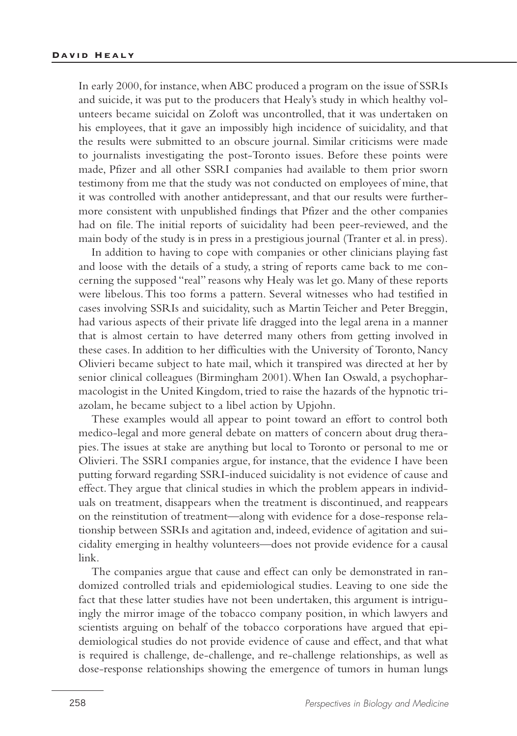In early 2000, for instance, when ABC produced a program on the issue of SSRIs and suicide, it was put to the producers that Healy's study in which healthy volunteers became suicidal on Zoloft was uncontrolled, that it was undertaken on his employees, that it gave an impossibly high incidence of suicidality, and that the results were submitted to an obscure journal. Similar criticisms were made to journalists investigating the post-Toronto issues. Before these points were made, Pfizer and all other SSRI companies had available to them prior sworn testimony from me that the study was not conducted on employees of mine, that it was controlled with another antidepressant, and that our results were furthermore consistent with unpublished findings that Pfizer and the other companies had on file. The initial reports of suicidality had been peer-reviewed, and the main body of the study is in press in a prestigious journal (Tranter et al. in press).

In addition to having to cope with companies or other clinicians playing fast and loose with the details of a study, a string of reports came back to me concerning the supposed "real" reasons why Healy was let go. Many of these reports were libelous. This too forms a pattern. Several witnesses who had testified in cases involving SSRIs and suicidality, such as Martin Teicher and Peter Breggin, had various aspects of their private life dragged into the legal arena in a manner that is almost certain to have deterred many others from getting involved in these cases. In addition to her difficulties with the University of Toronto, Nancy Olivieri became subject to hate mail, which it transpired was directed at her by senior clinical colleagues (Birmingham 2001).When Ian Oswald, a psychopharmacologist in the United Kingdom, tried to raise the hazards of the hypnotic triazolam, he became subject to a libel action by Upjohn.

These examples would all appear to point toward an effort to control both medico-legal and more general debate on matters of concern about drug therapies.The issues at stake are anything but local to Toronto or personal to me or Olivieri. The SSRI companies argue, for instance, that the evidence I have been putting forward regarding SSRI-induced suicidality is not evidence of cause and effect.They argue that clinical studies in which the problem appears in individuals on treatment, disappears when the treatment is discontinued, and reappears on the reinstitution of treatment—along with evidence for a dose-response relationship between SSRIs and agitation and, indeed, evidence of agitation and suicidality emerging in healthy volunteers—does not provide evidence for a causal link.

The companies argue that cause and effect can only be demonstrated in randomized controlled trials and epidemiological studies. Leaving to one side the fact that these latter studies have not been undertaken, this argument is intriguingly the mirror image of the tobacco company position, in which lawyers and scientists arguing on behalf of the tobacco corporations have argued that epidemiological studies do not provide evidence of cause and effect, and that what is required is challenge, de-challenge, and re-challenge relationships, as well as dose-response relationships showing the emergence of tumors in human lungs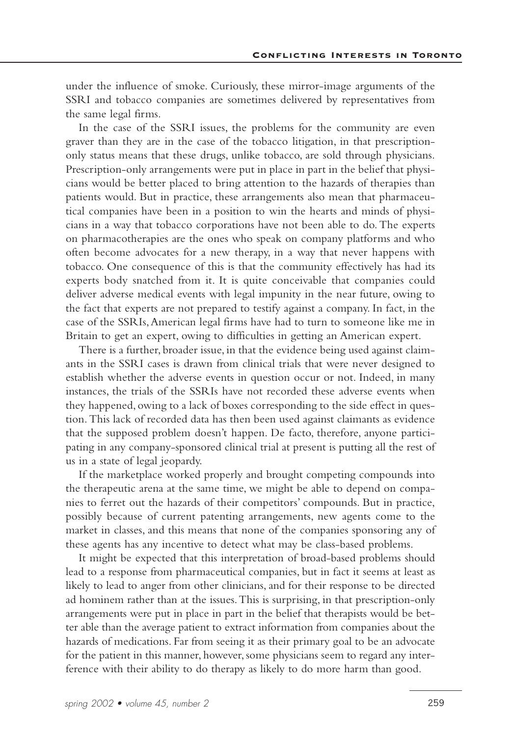under the influence of smoke. Curiously, these mirror-image arguments of the SSRI and tobacco companies are sometimes delivered by representatives from the same legal firms.

In the case of the SSRI issues, the problems for the community are even graver than they are in the case of the tobacco litigation, in that prescriptiononly status means that these drugs, unlike tobacco, are sold through physicians. Prescription-only arrangements were put in place in part in the belief that physicians would be better placed to bring attention to the hazards of therapies than patients would. But in practice, these arrangements also mean that pharmaceutical companies have been in a position to win the hearts and minds of physicians in a way that tobacco corporations have not been able to do. The experts on pharmacotherapies are the ones who speak on company platforms and who often become advocates for a new therapy, in a way that never happens with tobacco. One consequence of this is that the community effectively has had its experts body snatched from it. It is quite conceivable that companies could deliver adverse medical events with legal impunity in the near future, owing to the fact that experts are not prepared to testify against a company. In fact, in the case of the SSRIs,American legal firms have had to turn to someone like me in Britain to get an expert, owing to difficulties in getting an American expert.

There is a further, broader issue, in that the evidence being used against claimants in the SSRI cases is drawn from clinical trials that were never designed to establish whether the adverse events in question occur or not. Indeed, in many instances, the trials of the SSRIs have not recorded these adverse events when they happened, owing to a lack of boxes corresponding to the side effect in question. This lack of recorded data has then been used against claimants as evidence that the supposed problem doesn't happen. De facto, therefore, anyone participating in any company-sponsored clinical trial at present is putting all the rest of us in a state of legal jeopardy.

If the marketplace worked properly and brought competing compounds into the therapeutic arena at the same time, we might be able to depend on companies to ferret out the hazards of their competitors' compounds. But in practice, possibly because of current patenting arrangements, new agents come to the market in classes, and this means that none of the companies sponsoring any of these agents has any incentive to detect what may be class-based problems.

It might be expected that this interpretation of broad-based problems should lead to a response from pharmaceutical companies, but in fact it seems at least as likely to lead to anger from other clinicians, and for their response to be directed ad hominem rather than at the issues.This is surprising, in that prescription-only arrangements were put in place in part in the belief that therapists would be better able than the average patient to extract information from companies about the hazards of medications. Far from seeing it as their primary goal to be an advocate for the patient in this manner, however, some physicians seem to regard any interference with their ability to do therapy as likely to do more harm than good.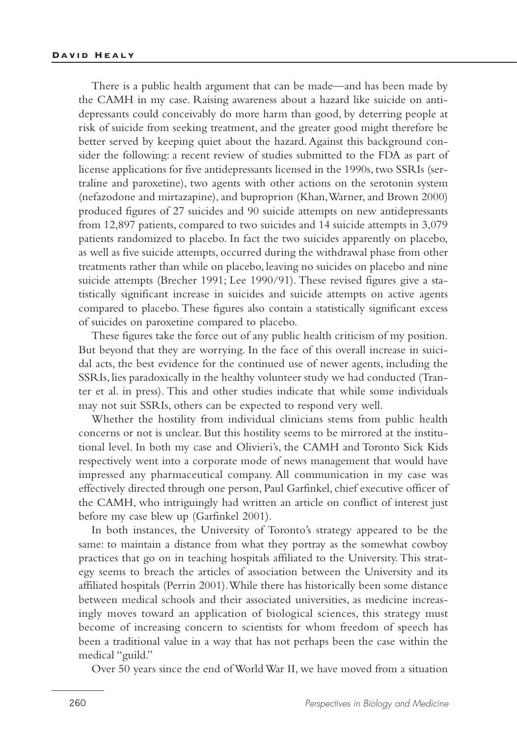There is a public health argument that can be made—and has been made by the CAMH in my case. Raising awareness about a hazard like suicide on antidepressants could conceivably do more harm than good, by deterring people at risk of suicide from seeking treatment, and the greater good might therefore be better served by keeping quiet about the hazard. Against this background consider the following: a recent review of studies submitted to the FDA as part of license applications for five antidepressants licensed in the 1990s, two SSRIs (sertraline and paroxetine), two agents with other actions on the serotonin system (nefazodone and mirtazapine), and buproprion (Khan,Warner, and Brown 2000) produced figures of 27 suicides and 90 suicide attempts on new antidepressants from 12,897 patients, compared to two suicides and 14 suicide attempts in 3,079 patients randomized to placebo. In fact the two suicides apparently on placebo, as well as five suicide attempts, occurred during the withdrawal phase from other treatments rather than while on placebo, leaving no suicides on placebo and nine suicide attempts (Brecher 1991; Lee 1990/91). These revised figures give a statistically significant increase in suicides and suicide attempts on active agents compared to placebo. These figures also contain a statistically significant excess of suicides on paroxetine compared to placebo.

These figures take the force out of any public health criticism of my position. But beyond that they are worrying. In the face of this overall increase in suicidal acts, the best evidence for the continued use of newer agents, including the SSRIs, lies paradoxically in the healthy volunteer study we had conducted (Tranter et al. in press). This and other studies indicate that while some individuals may not suit SSRIs, others can be expected to respond very well.

Whether the hostility from individual clinicians stems from public health concerns or not is unclear. But this hostility seems to be mirrored at the institutional level. In both my case and Olivieri's, the CAMH and Toronto Sick Kids respectively went into a corporate mode of news management that would have impressed any pharmaceutical company. All communication in my case was effectively directed through one person, Paul Garfinkel, chief executive officer of the CAMH, who intriguingly had written an article on conflict of interest just before my case blew up (Garfinkel 2001).

In both instances, the University of Toronto's strategy appeared to be the same: to maintain a distance from what they portray as the somewhat cowboy practices that go on in teaching hospitals affiliated to the University. This strategy seems to breach the articles of association between the University and its affiliated hospitals (Perrin 2001).While there has historically been some distance between medical schools and their associated universities, as medicine increasingly moves toward an application of biological sciences, this strategy must become of increasing concern to scientists for whom freedom of speech has been a traditional value in a way that has not perhaps been the case within the medical "guild."

Over 50 years since the end of World War II, we have moved from a situation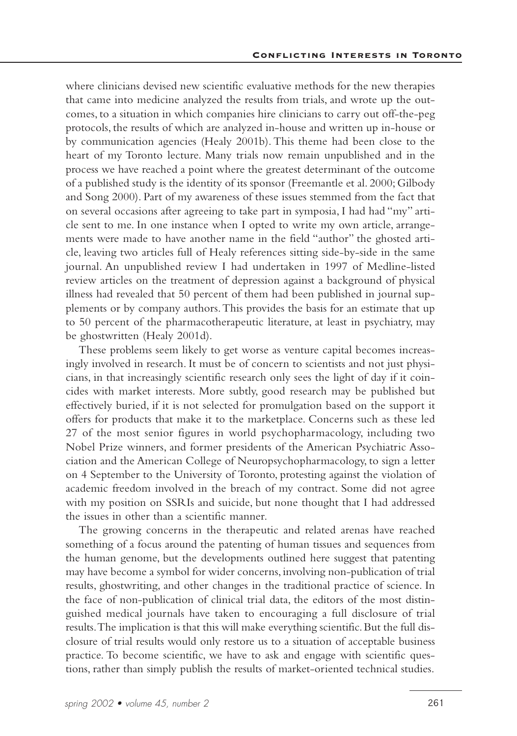where clinicians devised new scientific evaluative methods for the new therapies that came into medicine analyzed the results from trials, and wrote up the outcomes, to a situation in which companies hire clinicians to carry out off-the-peg protocols, the results of which are analyzed in-house and written up in-house or by communication agencies (Healy 2001b). This theme had been close to the heart of my Toronto lecture. Many trials now remain unpublished and in the process we have reached a point where the greatest determinant of the outcome of a published study is the identity of its sponsor (Freemantle et al. 2000; Gilbody and Song 2000). Part of my awareness of these issues stemmed from the fact that on several occasions after agreeing to take part in symposia, I had had "my" article sent to me. In one instance when I opted to write my own article, arrangements were made to have another name in the field "author" the ghosted article, leaving two articles full of Healy references sitting side-by-side in the same journal. An unpublished review I had undertaken in 1997 of Medline-listed review articles on the treatment of depression against a background of physical illness had revealed that 50 percent of them had been published in journal supplements or by company authors.This provides the basis for an estimate that up to 50 percent of the pharmacotherapeutic literature, at least in psychiatry, may be ghostwritten (Healy 2001d).

These problems seem likely to get worse as venture capital becomes increasingly involved in research. It must be of concern to scientists and not just physicians, in that increasingly scientific research only sees the light of day if it coincides with market interests. More subtly, good research may be published but effectively buried, if it is not selected for promulgation based on the support it offers for products that make it to the marketplace. Concerns such as these led 27 of the most senior figures in world psychopharmacology, including two Nobel Prize winners, and former presidents of the American Psychiatric Association and the American College of Neuropsychopharmacology, to sign a letter on 4 September to the University of Toronto, protesting against the violation of academic freedom involved in the breach of my contract. Some did not agree with my position on SSRIs and suicide, but none thought that I had addressed the issues in other than a scientific manner.

The growing concerns in the therapeutic and related arenas have reached something of a focus around the patenting of human tissues and sequences from the human genome, but the developments outlined here suggest that patenting may have become a symbol for wider concerns, involving non-publication of trial results, ghostwriting, and other changes in the traditional practice of science. In the face of non-publication of clinical trial data, the editors of the most distinguished medical journals have taken to encouraging a full disclosure of trial results.The implication is that this will make everything scientific.But the full disclosure of trial results would only restore us to a situation of acceptable business practice. To become scientific, we have to ask and engage with scientific questions, rather than simply publish the results of market-oriented technical studies.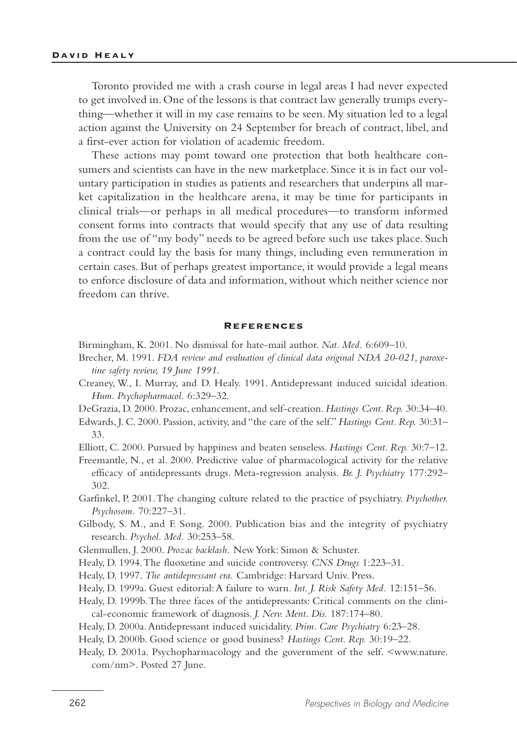Toronto provided me with a crash course in legal areas I had never expected to get involved in. One of the lessons is that contract law generally trumps everything—whether it will in my case remains to be seen. My situation led to a legal action against the University on 24 September for breach of contract, libel, and a first-ever action for violation of academic freedom.

These actions may point toward one protection that both healthcare consumers and scientists can have in the new marketplace. Since it is in fact our voluntary participation in studies as patients and researchers that underpins all market capitalization in the healthcare arena, it may be time for participants in clinical trials—or perhaps in all medical procedures—to transform informed consent forms into contracts that would specify that any use of data resulting from the use of "my body" needs to be agreed before such use takes place. Such a contract could lay the basis for many things, including even remuneration in certain cases. But of perhaps greatest importance, it would provide a legal means to enforce disclosure of data and information, without which neither science nor freedom can thrive.

#### **REFERENCES**

- Birmingham, K. 2001. No dismissal for hate-mail author. *Nat. Med.* 6:609–10.
- Brecher, M. 1991. *FDA review and evaluation of clinical data original NDA 20-021, paroxetine safety review, 19 June 1991*.
- Creaney, W., I. Murray, and D. Healy. 1991. Antidepressant induced suicidal ideation. *Hum. Psychopharmacol.* 6:329–32.
- DeGrazia, D. 2000. Prozac, enhancement, and self-creation. *Hastings Cent. Rep.* 30:34–40.
- Edwards, J. C. 2000. Passion, activity, and "the care of the self." *Hastings Cent. Rep.* 30:31– 33.
- Elliott, C. 2000. Pursued by happiness and beaten senseless. *Hastings Cent. Rep.* 30:7–12.
- Freemantle, N., et al. 2000. Predictive value of pharmacological activity for the relative efficacy of antidepressants drugs. Meta-regression analysis. *Br. J. Psychiatry* 177:292– 302.

Garfinkel, P. 2001.The changing culture related to the practice of psychiatry. *Psychother. Psychosom.* 70:227–31.

- Gilbody, S. M., and F. Song. 2000. Publication bias and the integrity of psychiatry research. *Psychol. Med.* 30:253–58.
- Glenmullen, J. 2000. *Prozac backlash.* New York: Simon & Schuster.
- Healy, D. 1994.The fluoxetine and suicide controversy. *CNS Drugs* 1:223–31.
- Healy, D. 1997. *The antidepressant era.* Cambridge: Harvard Univ. Press.
- Healy, D. 1999a. Guest editorial:A failure to warn. *Int. J. Risk Safety Med.* 12:151–56.
- Healy, D. 1999b.The three faces of the antidepressants: Critical comments on the clinical-economic framework of diagnosis. *J. Nerv. Ment. Dis.* 187:174–80.
- Healy, D. 2000a.Antidepressant induced suicidality. *Prim. Care Psychiatry* 6:23–28.
- Healy, D. 2000b. Good science or good business? *Hastings Cent. Rep.* 30:19–22.
- Healy, D. 2001a. Psychopharmacology and the government of the self. <www.nature. com/nm>. Posted 27 June.